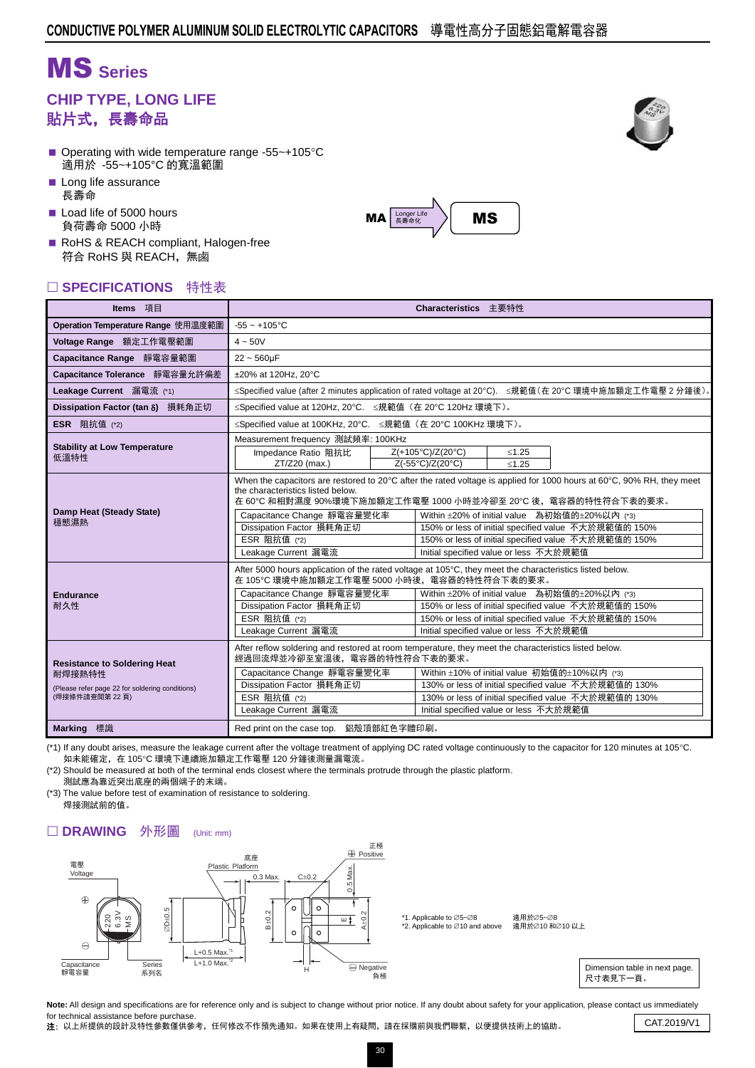# MS **Series**

### **CHIP TYPE, LONG LIFE** 貼片式,長壽命品

- Operating with wide temperature range -55 $\sim$ +105 $\degree$ C 適用於 -55~+105°C 的寬溫範圍
- Long life assurance 長壽命
- Load life of 5000 hours 負荷壽命 5000 小時
- RoHS & REACH compliant, Halogen-free 符合 RoHS 與 REACH,無鹵

#### □ SPECIFICATIONS 特性表

| Items 項目                                                                                                          | Characteristics 主要特性                                                                                                                                                                                                                                    |                                                                                                                                                                                                                                                                                                                                                                                                 |                                        |         |                                                                                                                                                              |  |  |  |  |
|-------------------------------------------------------------------------------------------------------------------|---------------------------------------------------------------------------------------------------------------------------------------------------------------------------------------------------------------------------------------------------------|-------------------------------------------------------------------------------------------------------------------------------------------------------------------------------------------------------------------------------------------------------------------------------------------------------------------------------------------------------------------------------------------------|----------------------------------------|---------|--------------------------------------------------------------------------------------------------------------------------------------------------------------|--|--|--|--|
| Operation Temperature Range 使用温度範圍                                                                                | $-55 - +105$ °C                                                                                                                                                                                                                                         |                                                                                                                                                                                                                                                                                                                                                                                                 |                                        |         |                                                                                                                                                              |  |  |  |  |
| Voltage Range 額定工作電壓範圍                                                                                            | $4 - 50V$                                                                                                                                                                                                                                               |                                                                                                                                                                                                                                                                                                                                                                                                 |                                        |         |                                                                                                                                                              |  |  |  |  |
| Capacitance Range 靜電容量範圍                                                                                          | $22 - 560 \mu F$                                                                                                                                                                                                                                        |                                                                                                                                                                                                                                                                                                                                                                                                 |                                        |         |                                                                                                                                                              |  |  |  |  |
| Capacitance Tolerance 靜電容量允許偏差                                                                                    | ±20% at 120Hz. 20°C                                                                                                                                                                                                                                     |                                                                                                                                                                                                                                                                                                                                                                                                 |                                        |         |                                                                                                                                                              |  |  |  |  |
| Leakage Current 漏電流 (*1)                                                                                          | ≤Specified value (after 2 minutes application of rated voltage at 20°C). ≤規範值(在 20°C 環境中施加額定工作電壓 2 分鐘後)。                                                                                                                                                |                                                                                                                                                                                                                                                                                                                                                                                                 |                                        |         |                                                                                                                                                              |  |  |  |  |
| Dissipation Factor (tan δ) 損耗角正切                                                                                  | ≤Specified value at 120Hz, 20°C. ≤規範值 (在 20°C 120Hz 環境下)。                                                                                                                                                                                               |                                                                                                                                                                                                                                                                                                                                                                                                 |                                        |         |                                                                                                                                                              |  |  |  |  |
| <b>ESR</b> 阻抗值 $(2)$                                                                                              | ≤Specified value at 100KHz, 20°C. ≤規範值 (在 20°C 100KHz 環境下)。                                                                                                                                                                                             |                                                                                                                                                                                                                                                                                                                                                                                                 |                                        |         |                                                                                                                                                              |  |  |  |  |
| <b>Stability at Low Temperature</b>                                                                               | Measurement frequency 測試頻率: 100KHz                                                                                                                                                                                                                      |                                                                                                                                                                                                                                                                                                                                                                                                 |                                        |         |                                                                                                                                                              |  |  |  |  |
| 低溫特性                                                                                                              | Impedance Ratio 阻抗比                                                                                                                                                                                                                                     |                                                                                                                                                                                                                                                                                                                                                                                                 | Z(+105°C)/Z(20°C)                      | $≤1.25$ |                                                                                                                                                              |  |  |  |  |
|                                                                                                                   | ZT/Z20 (max.)                                                                                                                                                                                                                                           |                                                                                                                                                                                                                                                                                                                                                                                                 | Z(-55°C)/Z(20°C)                       | $≤1.25$ |                                                                                                                                                              |  |  |  |  |
| Damp Heat (Steady State)<br>穩態濕熱                                                                                  | the characteristics listed below.<br>Capacitance Change 靜電容量變化率<br>Dissipation Factor 損耗角正切<br>ESR 阻抗值 (*2)<br>Leakage Current 漏電流                                                                                                                      | When the capacitors are restored to 20°C after the rated voltage is applied for 1000 hours at 60°C, 90% RH, they meet<br>在 60℃ 和相對濕度 90%環境下施加額定工作電壓 1000 小時並冷卻至 20℃ 後,電容器的特性符合下表的要求。<br>Within ±20% of initial value 為初始值的±20%以內 (*3)<br>150% or less of initial specified value 不大於規範值的 150%<br>150% or less of initial specified value 不大於規範值的 150%<br>Initial specified value or less 不大於規範值 |                                        |         |                                                                                                                                                              |  |  |  |  |
| <b>Endurance</b><br>耐久性                                                                                           | After 5000 hours application of the rated voltage at 105°C, they meet the characteristics listed below.<br>在 105°C 環境中施加額定工作電壓 5000 小時後,電容器的特性符合下表的要求。<br>Capacitance Change 靜電容量變化率<br>Dissipation Factor 損耗角正切<br>ESR 阻抗值 (*2)<br>Leakage Current 漏電流 | Within ±20% of initial value 為初始值的±20%以內 (*3)<br>150% or less of initial specified value 不大於規範值的 150%<br>150% or less of initial specified value 不大於規範值的 150%<br>Initial specified value or less 不大於規範值                                                                                                                                                                                         |                                        |         |                                                                                                                                                              |  |  |  |  |
| <b>Resistance to Soldering Heat</b><br>耐焊接熱特性<br>(Please refer page 22 for soldering conditions)<br>(焊接條件請查閱第22頁) | After reflow soldering and restored at room temperature, they meet the characteristics listed below.<br>經過回流焊並冷卻至室溫後,電容器的特性符合下表的要求。<br>Capacitance Change 靜電容量變化率<br>Dissipation Factor 損耗角正切<br>ESR 阻抗值 (*2)<br>Leakage Current 漏電流                    |                                                                                                                                                                                                                                                                                                                                                                                                 | Initial specified value or less 不大於規範值 |         | Within ±10% of initial value 初始值的±10%以内 (*3)<br>130% or less of initial specified value 不大於規範值的 130%<br>130% or less of initial specified value 不大於規範值的 130% |  |  |  |  |
| <b>Marking</b> 標識                                                                                                 | Red print on the case top. 鋁殼頂部紅色字體印刷。                                                                                                                                                                                                                  |                                                                                                                                                                                                                                                                                                                                                                                                 |                                        |         |                                                                                                                                                              |  |  |  |  |

(\*1) If any doubt arises, measure the leakage current after the voltage treatment of applying DC rated voltage continuously to the capacitor for 120 minutes at 105°C. 如未能確定, 在 105℃ 環境下連續施加額定工作電壓 120 分鐘後測量漏電流。

(\*2) Should be measured at both of the terminal ends closest where the terminals protrude through the plastic platform. 測試應為靠近突出底座的兩個端子的末端。

(\*3) The value before test of examination of resistance to soldering. 焊接測試前的值。

#### □ DRAWING 外形圖 (Unit: mm)







Note: All design and specifications are for reference only and is subject to change without prior notice. If any doubt about safety for your application, please contact us immediately for technical assistance before purchase. Tor technical assistance before purchase.<br>2: 以上所提供的設計及特性參數僅供參考,任何修改不作預先通知。如果在使用上有疑問,請在採購前與我們聯繫,以便提供技術上的協助。 CAT.2019/V1